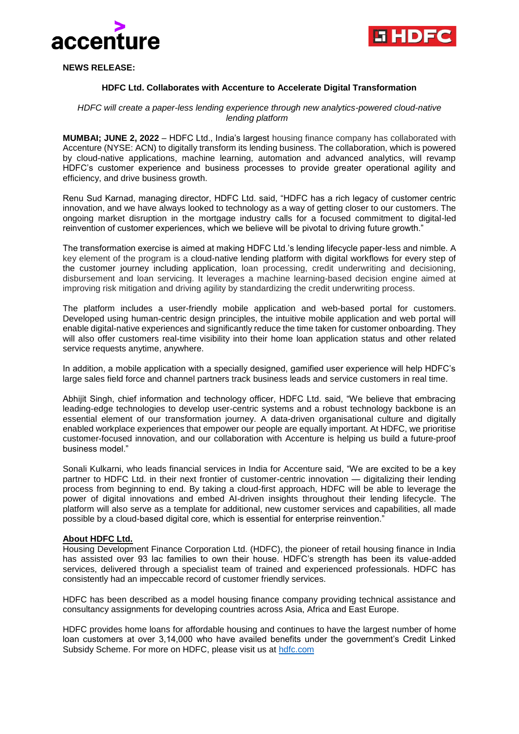



**NEWS RELEASE:**

## **HDFC Ltd. Collaborates with Accenture to Accelerate Digital Transformation**

## *HDFC will create a paper-less lending experience through new analytics-powered cloud-native lending platform*

**MUMBAI; JUNE 2, 2022** – HDFC Ltd., India's largest housing finance company has collaborated with Accenture (NYSE: ACN) to digitally transform its lending business. The collaboration, which is powered by cloud-native applications, machine learning, automation and advanced analytics, will revamp HDFC's customer experience and business processes to provide greater operational agility and efficiency, and drive business growth.

Renu Sud Karnad, managing director, HDFC Ltd. said, "HDFC has a rich legacy of customer centric innovation, and we have always looked to technology as a way of getting closer to our customers. The ongoing market disruption in the mortgage industry calls for a focused commitment to digital-led reinvention of customer experiences, which we believe will be pivotal to driving future growth."

The transformation exercise is aimed at making HDFC Ltd.'s lending lifecycle paper-less and nimble. A key element of the program is a cloud-native lending platform with digital workflows for every step of the customer journey including application, loan processing, credit underwriting and decisioning, disbursement and loan servicing. It leverages a machine learning-based decision engine aimed at improving risk mitigation and driving agility by standardizing the credit underwriting process.

The platform includes a user-friendly mobile application and web-based portal for customers. Developed using human-centric design principles, the intuitive mobile application and web portal will enable digital-native experiences and significantly reduce the time taken for customer onboarding. They will also offer customers real-time visibility into their home loan application status and other related service requests anytime, anywhere.

In addition, a mobile application with a specially designed, gamified user experience will help HDFC's large sales field force and channel partners track business leads and service customers in real time.

Abhijit Singh, chief information and technology officer, HDFC Ltd. said, "We believe that embracing leading-edge technologies to develop user-centric systems and a robust technology backbone is an essential element of our transformation journey. A data-driven organisational culture and digitally enabled workplace experiences that empower our people are equally important. At HDFC, we prioritise customer-focused innovation, and our collaboration with Accenture is helping us build a future-proof business model."

Sonali Kulkarni, who leads financial services in India for Accenture said, "We are excited to be a key partner to HDFC Ltd. in their next frontier of customer-centric innovation — digitalizing their lending process from beginning to end. By taking a cloud-first approach, HDFC will be able to leverage the power of digital innovations and embed AI-driven insights throughout their lending lifecycle. The platform will also serve as a template for additional, new customer services and capabilities, all made possible by a cloud-based digital core, which is essential for enterprise reinvention."

## **About HDFC Ltd.**

Housing Development Finance Corporation Ltd. (HDFC), the pioneer of retail housing finance in India has assisted over 93 lac families to own their house. HDFC's strength has been its value-added services, delivered through a specialist team of trained and experienced professionals. HDFC has consistently had an impeccable record of customer friendly services.

HDFC has been described as a model housing finance company providing technical assistance and consultancy assignments for developing countries across Asia, Africa and East Europe.

HDFC provides home loans for affordable housing and continues to have the largest number of home loan customers at over 3,14,000 who have availed benefits under the government's Credit Linked Subsidy Scheme. For more on HDFC, please visit us at [hdfc.com](http://www.accenture.com/)